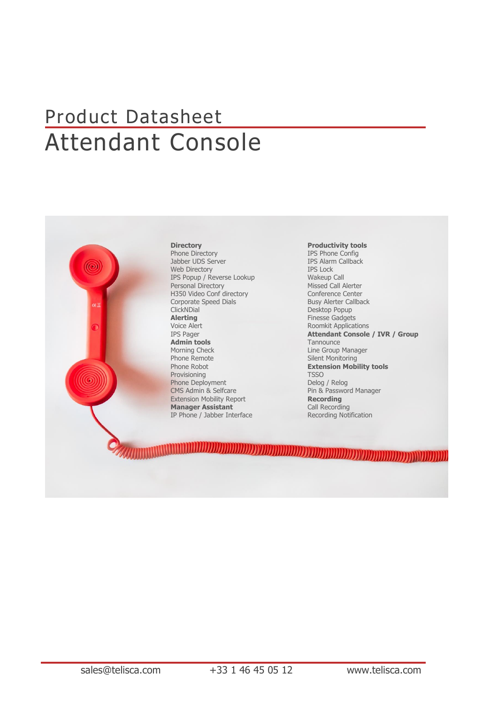# Product Datasheet Attendant Console



#### **Directory**

Phone Directory Jabber UDS Server Web Directory IPS Popup / Reverse Lookup Personal Directory H350 Video Conf directory Corporate Speed Dials **ClickNDial Alerting** Voice Alert IPS Pager **Admin tools** Morning Check Phone Remote Phone Robot Provisioning Phone Deployment CMS Admin & Selfcare Extension Mobility Report **Manager Assistant** IP Phone / Jabber Interface

**Productivity tools** IPS Phone Config IPS Alarm Callback IPS Lock Wakeup Call Missed Call Alerter Conference Center Busy Alerter Callback Desktop Popup Finesse Gadgets Roomkit Applications **Attendant Console / IVR / Group Tannounce** Line Group Manager Silent Monitoring **Extension Mobility tools TSSO** Delog / Relog Pin & Password Manager **Recording** Call Recording Recording Notification

<u> A MANA A MANA A MANA A MATA MANA A MANA A MANA A MANA A MANA A MANA A MANA A MANA A MANA A MANA A MANA A MANA </u>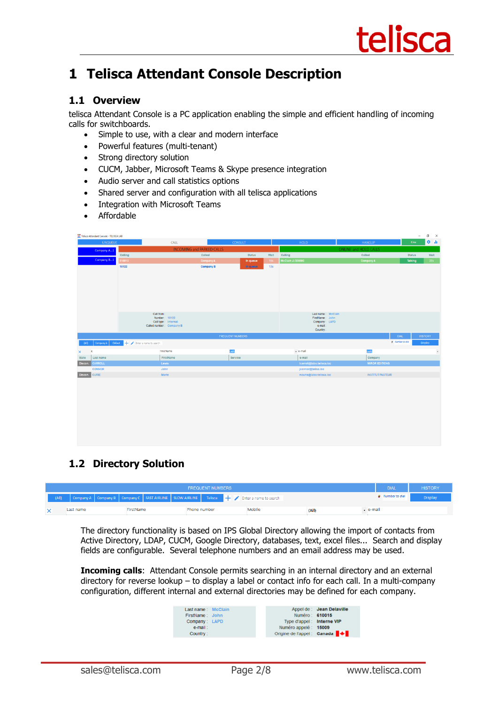

## **1 Telisca Attendant Console Description**

### **1.1 Overview**

telisca Attendant Console is a PC application enabling the simple and efficient handling of incoming calls for switchboards.

- Simple to use, with a clear and modern interface
- Powerful features (multi-tenant)
- Strong directory solution
- CUCM, Jabber, Microsoft Teams & Skype presence integration
- Audio server and call statistics options
- Shared server and configuration with all telisca applications
- Integration with Microsoft Teams
- Affordable

|               | Inf. Telisca Attendant Console - TELISCA LAB |                                                   |                                                 |                                  |                         |            |                                       |                       |                         | $\sim$        | σ<br>$\mathord{\times}$ |
|---------------|----------------------------------------------|---------------------------------------------------|-------------------------------------------------|----------------------------------|-------------------------|------------|---------------------------------------|-----------------------|-------------------------|---------------|-------------------------|
|               | <b>UNQUEUE</b>                               |                                                   | CALL                                            |                                  | <b>CONSULT</b>          |            | <b>HOLD</b>                           |                       | <b>HANGUP</b>           | Cnx           | 京市                      |
|               | Company A1                                   |                                                   |                                                 | <b>INCOMING and PARKED CALLS</b> |                         |            |                                       | ONLINE and HOLD CALLS |                         |               |                         |
|               |                                              | Calling                                           |                                                 | Called                           | <b>Status</b>           | Wait       | Calling                               | Called                |                         | <b>Status</b> | Wait                    |
|               | Company B1                                   | 610010                                            |                                                 | Company A                        | In queue                | <b>19s</b> | McClain J./300500                     | Company A             |                         | Talking       | <b>28s</b>              |
|               |                                              | 10122                                             |                                                 | <b>Company B</b>                 | In queue                | <b>13s</b> |                                       |                       |                         |               |                         |
|               |                                              |                                                   |                                                 |                                  |                         |            |                                       |                       |                         |               |                         |
|               |                                              |                                                   |                                                 |                                  |                         |            |                                       |                       |                         |               |                         |
|               |                                              |                                                   |                                                 |                                  |                         |            |                                       |                       |                         |               |                         |
|               |                                              |                                                   |                                                 |                                  |                         |            |                                       |                       |                         |               |                         |
|               |                                              |                                                   |                                                 |                                  |                         |            |                                       |                       |                         |               |                         |
|               |                                              |                                                   |                                                 |                                  |                         |            |                                       |                       |                         |               |                         |
|               |                                              |                                                   |                                                 |                                  |                         |            |                                       |                       |                         |               |                         |
|               |                                              |                                                   | Call from:<br>Number: 10122                     |                                  |                         |            | Last name: McClain<br>FirstName: John |                       |                         |               |                         |
|               |                                              |                                                   | Call type: Internal<br>Called number: Company B |                                  |                         |            | Company: LAPD<br>e-mail:              |                       |                         |               |                         |
|               |                                              |                                                   |                                                 |                                  |                         |            | Country:                              |                       |                         |               |                         |
|               |                                              |                                                   |                                                 |                                  | <b>FREQUENT NUMBERS</b> |            |                                       |                       | <b>DIAL</b>             |               | <b>HISTORY</b>          |
|               |                                              | (All) Company A Défaut + a Enter a name to search |                                                 |                                  |                         |            |                                       |                       | # Number to dial        |               | Display                 |
| $\mathsf{x}$  | $\mathbf{c}$                                 |                                                   | FirstName                                       |                                  | (AII)                   |            | - e-mail                              |                       | (All)                   |               | $\;$                    |
| State         | Last name                                    |                                                   | FirstName                                       |                                  | Service                 |            | e-mail                                |                       | Company                 |               |                         |
|               | Discon. CARROLL                              |                                                   | Lewis                                           |                                  |                         |            | lcarroll@labo.telisca.loc             |                       | <b>MIROR EDITIONS</b>   |               |                         |
|               | <b>CONNOR</b>                                |                                                   | John                                            |                                  |                         |            | jconnor@telisa.loc                    |                       |                         |               |                         |
| Discon. CURIE |                                              |                                                   | Marie                                           |                                  |                         |            | mcurie@labo.telisca.loc               |                       | <b>INSTITUT PASTEUR</b> |               |                         |
|               |                                              |                                                   |                                                 |                                  |                         |            |                                       |                       |                         |               |                         |
|               |                                              |                                                   |                                                 |                                  |                         |            |                                       |                       |                         |               |                         |
|               |                                              |                                                   |                                                 |                                  |                         |            |                                       |                       |                         |               |                         |
|               |                                              |                                                   |                                                 |                                  |                         |            |                                       |                       |                         |               |                         |
|               |                                              |                                                   |                                                 |                                  |                         |            |                                       |                       |                         |               |                         |
|               |                                              |                                                   |                                                 |                                  |                         |            |                                       |                       |                         |               |                         |
|               |                                              |                                                   |                                                 |                                  |                         |            |                                       |                       |                         |               |                         |
|               |                                              |                                                   |                                                 |                                  |                         |            |                                       |                       |                         |               |                         |
|               |                                              |                                                   |                                                 |                                  |                         |            |                                       |                       |                         |               |                         |
|               |                                              |                                                   |                                                 |                                  |                         |            |                                       |                       |                         |               |                         |
|               |                                              |                                                   |                                                 |                                  |                         |            |                                       |                       |                         |               |                         |
|               |                                              |                                                   |                                                 |                                  |                         |            |                                       |                       |                         |               |                         |

### **1.2 Directory Solution**

| <b>FREQUENT NUMBERS</b> |  |           |  |  |              |  | <b>DIAL</b>                                                                                                           | <b>HISTORY</b> |            |                  |         |
|-------------------------|--|-----------|--|--|--------------|--|-----------------------------------------------------------------------------------------------------------------------|----------------|------------|------------------|---------|
|                         |  |           |  |  |              |  | All)   Company A   Company B   Company C   FAST AIRLINE   SLOW AIRLINE   Telisca           2   Enter a name to search |                |            | # Number to dial | Display |
| Last name               |  | FirstName |  |  | Phone number |  | Mobile                                                                                                                | (A  )          | $-e$ -mail |                  |         |

The directory functionality is based on IPS Global Directory allowing the import of contacts from Active Directory, LDAP, CUCM, Google Directory, databases, text, excel files... Search and display fields are configurable. Several telephone numbers and an email address may be used.

**Incoming calls**: Attendant Console permits searching in an internal directory and an external directory for reverse lookup – to display a label or contact info for each call. In a multi-company configuration, different internal and external directories may be defined for each company.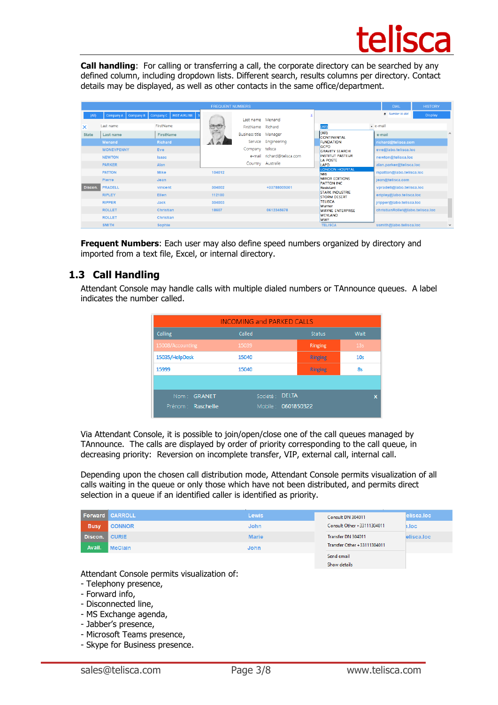

**Call handling**: For calling or transferring a call, the corporate directory can be searched by any defined column, including dropdown lists. Different search, results columns per directory. Contact details may be displayed, as well as other contacts in the same office/department.

|              |                     |                                     | <b>FREQUENT NUMBERS</b> |                        |                     |                                               | <b>DIAL</b>                      | <b>HISTORY</b>           |                          |  |
|--------------|---------------------|-------------------------------------|-------------------------|------------------------|---------------------|-----------------------------------------------|----------------------------------|--------------------------|--------------------------|--|
| (A  )        | Company A Company B | <b>FAST AIRLINE</b> SI<br>Company C |                         | Last name Menand       | Χ                   |                                               | # Number to dial                 | <b>Display</b>           |                          |  |
| $\times$     | Last name           | FirstName                           |                         | FirstName Richard      |                     | $-$ e-mail<br>(AII)                           |                                  |                          |                          |  |
| <b>State</b> | Last name           | <b>FirstName</b>                    |                         | Business title Manager |                     | (AII)<br><b>CONTINENTAL</b>                   | e-mail                           | $\sim$                   |                          |  |
|              | Menand              | Richard                             |                         |                        | Service Engineering | <b>FUNDATION</b>                              | richard@telisca.com              |                          |                          |  |
|              | <b>MONEYPENNY</b>   | <b>Eve</b>                          |                         | Company telisca        |                     | GCPD<br><b>GRAVITY SEARCH</b>                 | eve@labo.telisca.loc             |                          |                          |  |
|              | <b>NEWTON</b>       | <b>Isaac</b>                        |                         | e-mail                 | richard@telisca.com | <b>INSTITUT PASTEUR</b><br>LA POSTE           | newton@telisca.loc               |                          |                          |  |
|              | <b>PARKER</b>       | Alan                                |                         |                        | Country Australie   | LAPD                                          | alan.parker@telisca.loc          |                          |                          |  |
|              | <b>PATTON</b>       | <b>Mike</b>                         | 104012                  |                        |                     | <b>LONDON HOSPITAL</b><br><b>MI6</b>          | mpatton@labo.telisca.loc         |                          |                          |  |
|              | <b>Pierre</b>       | Jean                                |                         |                        |                     | <b>MIROR EDITIONS</b><br><b>PATTON INC</b>    | jean@tellsca.com                 |                          |                          |  |
| Discon.      | <b>PRADELL</b>      | vincent                             | 304002                  |                        | +33788009301        | <b>Resistant</b>                              | vpradell@labo.telisca.loc        |                          |                          |  |
|              | <b>RIPLEY</b>       | <b>Ellen</b>                        | 112100                  |                        |                     | <b>STARK INDUSTRIE</b><br><b>STORM DESERT</b> | eripley@labo.telisca.loc         |                          |                          |  |
|              | <b>RIPPER</b>       | Jack                                |                         | 304003                 |                     |                                               |                                  | <b>TELISCA</b><br>Warner | iripper@labo.telisca.loc |  |
|              | <b>ROLLET</b>       | <b>Christian</b>                    | 18607                   |                        | 0612345678          | <b>WAYNE ENTERPRISE</b>                       | christianRollet@labo.telisca.loc |                          |                          |  |
|              | <b>ROLLET</b>       | <b>Christian</b>                    |                         |                        |                     | WEYLAND<br><b>WWF</b>                         |                                  |                          |                          |  |
|              | <b>SMITH</b>        | Sophie                              |                         |                        |                     | <b>TELISCA</b>                                | ssmith@labo.telisca.loc          | v                        |                          |  |

**Frequent Numbers:** Each user may also define speed numbers organized by directory and imported from a text file, Excel, or internal directory.

### **1.3 Call Handling**

Attendant Console may handle calls with multiple dialed numbers or TAnnounce queues. A label indicates the number called.

| <b>INCOMING and PARKED CALLS</b> |           |                    |                 |  |  |  |
|----------------------------------|-----------|--------------------|-----------------|--|--|--|
| Calling                          | Called    | <b>Status</b>      | Wait            |  |  |  |
| 15008/Accounting                 | 15039     | Ringing            | 13 <sub>5</sub> |  |  |  |
| 15035/HelpDesk                   | 15040     | Ringing            | 10 <sub>s</sub> |  |  |  |
| 15999                            | 15040     | <b>Ringing</b>     | 85              |  |  |  |
|                                  |           |                    |                 |  |  |  |
| Nom: GRANET                      | Société : | <b>DELTA</b>       | $\mathbf x$     |  |  |  |
| Prénom : Raschelle               |           | Mobile: 0601850322 |                 |  |  |  |

Via Attendant Console, it is possible to join/open/close one of the call queues managed by TAnnounce. The calls are displayed by order of priority corresponding to the call queue, in decreasing priority: Reversion on incomplete transfer, VIP, external call, internal call.

Depending upon the chosen call distribution mode, Attendant Console permits visualization of all calls waiting in the queue or only those which have not been distributed, and permits direct selection in a queue if an identified caller is identified as priority.

|             | <b>Forward CARROLL</b> | <b>Lewis</b> | Consult DN 304011           | elisca.loc |
|-------------|------------------------|--------------|-----------------------------|------------|
| <b>Busy</b> | <b>CONNOR</b>          | John         | Consult Other +33111304011  | ı.loc      |
| Discon.     | <b>CURIE</b>           | <b>Marie</b> | Transfer DN 304011          | elisca.loc |
| Avail.      | <b>McClain</b>         | John         | Transfer Other +33111304011 |            |
|             |                        |              | <b>Condignal</b>            |            |

Attendant Console permits visualization of:

- Telephony presence,
- Forward info,
- Disconnected line,
- MS Exchange agenda,
- Jabber's presence,
- Microsoft Teams presence,
- Skype for Business presence.

Show details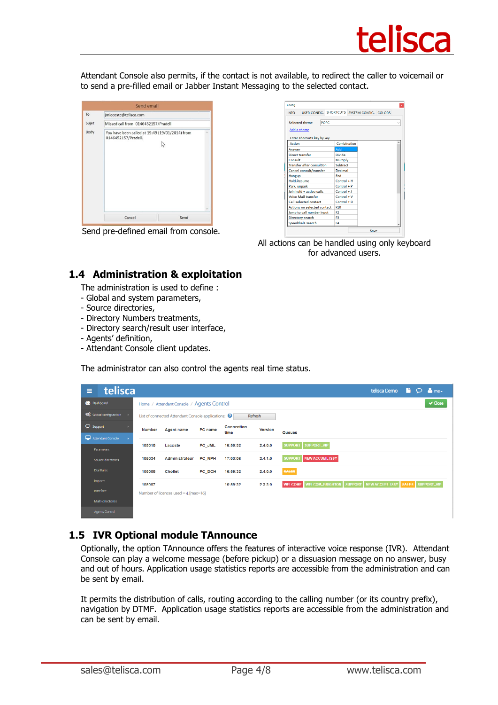

Attendant Console also permits, if the contact is not available, to redirect the caller to voicemail or to send a pre-filled email or Jabber Instant Messaging to the selected contact.

| To    | jmlacoste@telisca.com                                                  |   |
|-------|------------------------------------------------------------------------|---|
| Sujet |                                                                        |   |
|       | Missed call from 0146452157/Pradell                                    |   |
| Body  | You have been called at 19:49 (19/01/2014) from<br>0146452157/Pradell. | ĸ |
|       |                                                                        |   |
|       |                                                                        |   |
|       |                                                                        |   |
|       |                                                                        |   |
|       |                                                                        |   |
|       |                                                                        |   |
|       |                                                                        |   |
|       |                                                                        |   |
|       |                                                                        |   |
|       | Cancel<br>Send                                                         |   |

Send pre-defined email from console.

| Confia                                                              |                |                                              |  |  |  |
|---------------------------------------------------------------------|----------------|----------------------------------------------|--|--|--|
| <b>INFO</b>                                                         |                | USER CONFIG. SHORTCUTS SYSTEM CONFIG. COLORS |  |  |  |
| POPC<br>Selected theme<br>Add a theme<br>Enter shorcurts key by key |                |                                              |  |  |  |
| Action                                                              | Combination    |                                              |  |  |  |
| Answer                                                              | Add            |                                              |  |  |  |
| Direct transfer                                                     | Divide         |                                              |  |  |  |
| Consult                                                             | Multiply       |                                              |  |  |  |
| <b>Transfer after consultion</b>                                    | Subtract       |                                              |  |  |  |
| Cancel consult/transfer                                             | Decimal        |                                              |  |  |  |
| Hangup                                                              | <b>End</b>     |                                              |  |  |  |
| <b>Hold, Resume</b>                                                 | Control + H    |                                              |  |  |  |
| Park, unpark                                                        | $Control + P$  |                                              |  |  |  |
| loin hold + active calls                                            | $Control + I$  |                                              |  |  |  |
| <b>Voice Mail transfer</b>                                          | $Control + V$  |                                              |  |  |  |
| Call selected contact                                               | Control + D    |                                              |  |  |  |
| Actions on selected contact                                         | <b>E10</b>     |                                              |  |  |  |
| Jump to call number input                                           | F <sub>2</sub> |                                              |  |  |  |
| Directory search                                                    | F3             |                                              |  |  |  |
| Speeddials search                                                   | F4             |                                              |  |  |  |
|                                                                     |                | Save                                         |  |  |  |

All actions can be handled using only keyboard for advanced users.

### **1.4 Administration & exploitation**

The administration is used to define :

- Global and system parameters,
- Source directories,
- Directory Numbers treatments,
- Directory search/result user interface,
- Agents' definition,
- Attendant Console client updates.

The administrator can also control the agents real time status.

| telisca<br>$\equiv$                       |               |                                                             |         |                    |                | telisca Demo<br>HO.<br>$\frac{2}{2}$ me $\sim$                                                       |
|-------------------------------------------|---------------|-------------------------------------------------------------|---------|--------------------|----------------|------------------------------------------------------------------------------------------------------|
| <b>22</b> Dashboard                       |               | Home / Attendant Console / Agents Control                   |         |                    |                | $\vee$ Close                                                                                         |
| <b>C</b> Global configuration             |               | List of connected Attendant Console applications: $\bullet$ |         |                    | Refresh        |                                                                                                      |
| $\mathsf{D}$ Support<br>Attendant Console | <b>Number</b> | <b>Agent name</b>                                           | PC name | Connection<br>time | <b>Version</b> | Queues                                                                                               |
| Parameters                                | 105010        | Lacoste                                                     | PC JML  | 16:59:32           | 2.4.0.0        | SUPPORT SUPPORT VIP                                                                                  |
| Source directories                        | 105034        | Administrateur                                              | PC NPH  | 17:00:06           | 2.4.1.0        | NEW ACCUEIL ISSY<br><b>SUPPORT</b>                                                                   |
| <b>Dial Rules</b>                         | 105005        | <b>Chollet</b>                                              | PC DCH  | 16:59:32           | 2.4.0.0        | SALES                                                                                                |
| <b>Imports</b>                            | 105007        |                                                             |         | 16:59:32           | 2.3.3.0        | <b>SUPPORT</b><br><b>WELCOM_BRIGHTON</b><br>NEW ACCUEIL ISSY   SALES   SUPPORT_VIP<br><b>WELCOME</b> |
| Interface                                 |               | Number of licences used = $4$ [max=16]                      |         |                    |                |                                                                                                      |
| Multi-directories                         |               |                                                             |         |                    |                |                                                                                                      |
| <b>Agents Control</b>                     |               |                                                             |         |                    |                |                                                                                                      |

### **1.5 IVR Optional module TAnnounce**

Optionally, the option TAnnounce offers the features of interactive voice response (IVR). Attendant Console can play a welcome message (before pickup) or a dissuasion message on no answer, busy and out of hours. Application usage statistics reports are accessible from the administration and can be sent by email.

It permits the distribution of calls, routing according to the calling number (or its country prefix), navigation by DTMF. Application usage statistics reports are accessible from the administration and can be sent by email.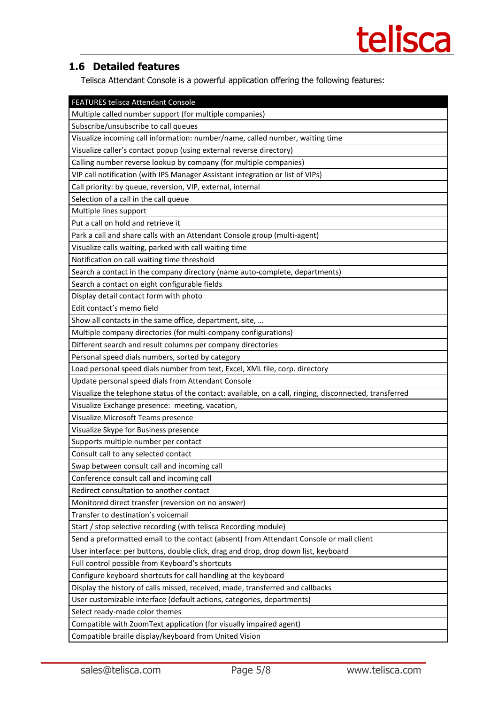### **1.6 Detailed features**

Telisca Attendant Console is a powerful application offering the following features:

| <b>FEATURES telisca Attendant Console</b>                                                               |
|---------------------------------------------------------------------------------------------------------|
| Multiple called number support (for multiple companies)                                                 |
| Subscribe/unsubscribe to call queues                                                                    |
| Visualize incoming call information: number/name, called number, waiting time                           |
| Visualize caller's contact popup (using external reverse directory)                                     |
| Calling number reverse lookup by company (for multiple companies)                                       |
| VIP call notification (with IPS Manager Assistant integration or list of VIPs)                          |
| Call priority: by queue, reversion, VIP, external, internal                                             |
| Selection of a call in the call queue                                                                   |
| Multiple lines support                                                                                  |
| Put a call on hold and retrieve it                                                                      |
| Park a call and share calls with an Attendant Console group (multi-agent)                               |
| Visualize calls waiting, parked with call waiting time                                                  |
| Notification on call waiting time threshold                                                             |
| Search a contact in the company directory (name auto-complete, departments)                             |
| Search a contact on eight configurable fields                                                           |
| Display detail contact form with photo                                                                  |
| Edit contact's memo field                                                                               |
| Show all contacts in the same office, department, site,                                                 |
| Multiple company directories (for multi-company configurations)                                         |
| Different search and result columns per company directories                                             |
| Personal speed dials numbers, sorted by category                                                        |
| Load personal speed dials number from text, Excel, XML file, corp. directory                            |
| Update personal speed dials from Attendant Console                                                      |
| Visualize the telephone status of the contact: available, on a call, ringing, disconnected, transferred |
| Visualize Exchange presence: meeting, vacation,                                                         |
| Visualize Microsoft Teams presence                                                                      |
| Visualize Skype for Business presence                                                                   |
| Supports multiple number per contact                                                                    |
| Consult call to any selected contact                                                                    |
| Swap between consult call and incoming call                                                             |
| Conference consult call and incoming call                                                               |
| Redirect consultation to another contact                                                                |
| Monitored direct transfer (reversion on no answer)                                                      |
| Transfer to destination's voicemail                                                                     |
| Start / stop selective recording (with telisca Recording module)                                        |
| Send a preformatted email to the contact (absent) from Attendant Console or mail client                 |
| User interface: per buttons, double click, drag and drop, drop down list, keyboard                      |
| Full control possible from Keyboard's shortcuts                                                         |
| Configure keyboard shortcuts for call handling at the keyboard                                          |
| Display the history of calls missed, received, made, transferred and callbacks                          |
| User customizable interface (default actions, categories, departments)                                  |
| Select ready-made color themes                                                                          |
| Compatible with ZoomText application (for visually impaired agent)                                      |
| Compatible braille display/keyboard from United Vision                                                  |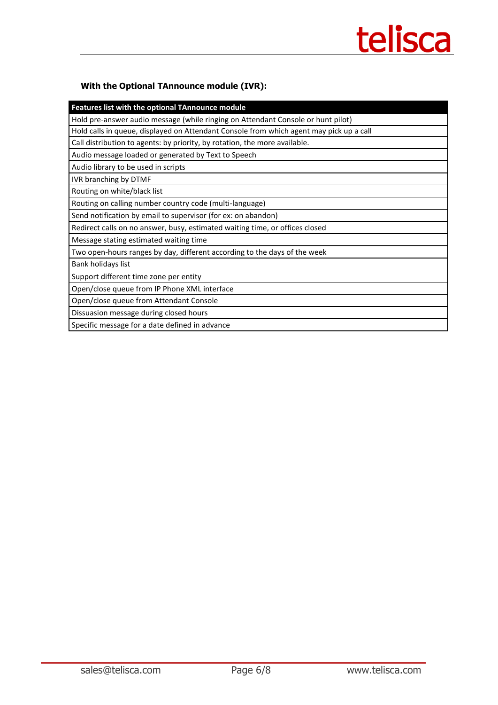# telisca

### **With the Optional TAnnounce module (IVR):**

| Features list with the optional TAnnounce module                                        |
|-----------------------------------------------------------------------------------------|
| Hold pre-answer audio message (while ringing on Attendant Console or hunt pilot)        |
| Hold calls in queue, displayed on Attendant Console from which agent may pick up a call |
| Call distribution to agents: by priority, by rotation, the more available.              |
| Audio message loaded or generated by Text to Speech                                     |
| Audio library to be used in scripts                                                     |
| IVR branching by DTMF                                                                   |
| Routing on white/black list                                                             |
| Routing on calling number country code (multi-language)                                 |
| Send notification by email to supervisor (for ex: on abandon)                           |
| Redirect calls on no answer, busy, estimated waiting time, or offices closed            |
| Message stating estimated waiting time                                                  |
| Two open-hours ranges by day, different according to the days of the week               |
| Bank holidays list                                                                      |
| Support different time zone per entity                                                  |
| Open/close queue from IP Phone XML interface                                            |
| Open/close queue from Attendant Console                                                 |
| Dissuasion message during closed hours                                                  |
| Specific message for a date defined in advance                                          |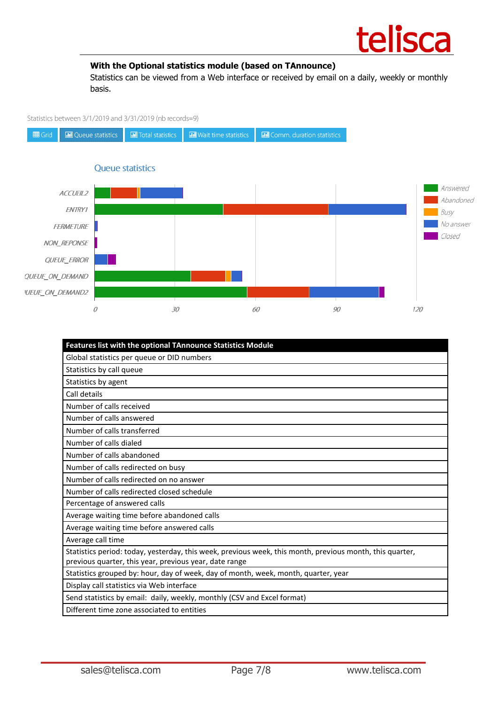

### **With the Optional statistics module (based on TAnnounce)**

Statistics can be viewed from a Web interface or received by email on a daily, weekly or monthly basis.







| Features list with the optional TAnnounce Statistics Module                                                                                                        |
|--------------------------------------------------------------------------------------------------------------------------------------------------------------------|
| Global statistics per queue or DID numbers                                                                                                                         |
| Statistics by call queue                                                                                                                                           |
| Statistics by agent                                                                                                                                                |
| Call details                                                                                                                                                       |
| Number of calls received                                                                                                                                           |
| Number of calls answered                                                                                                                                           |
| Number of calls transferred                                                                                                                                        |
| Number of calls dialed                                                                                                                                             |
| Number of calls abandoned                                                                                                                                          |
| Number of calls redirected on busy                                                                                                                                 |
| Number of calls redirected on no answer                                                                                                                            |
| Number of calls redirected closed schedule                                                                                                                         |
| Percentage of answered calls                                                                                                                                       |
| Average waiting time before abandoned calls                                                                                                                        |
| Average waiting time before answered calls                                                                                                                         |
| Average call time                                                                                                                                                  |
| Statistics period: today, yesterday, this week, previous week, this month, previous month, this quarter,<br>previous quarter, this year, previous year, date range |
| Statistics grouped by: hour, day of week, day of month, week, month, quarter, year                                                                                 |
|                                                                                                                                                                    |
| Display call statistics via Web interface                                                                                                                          |
| Send statistics by email: daily, weekly, monthly (CSV and Excel format)                                                                                            |
| Different time zone associated to entities                                                                                                                         |